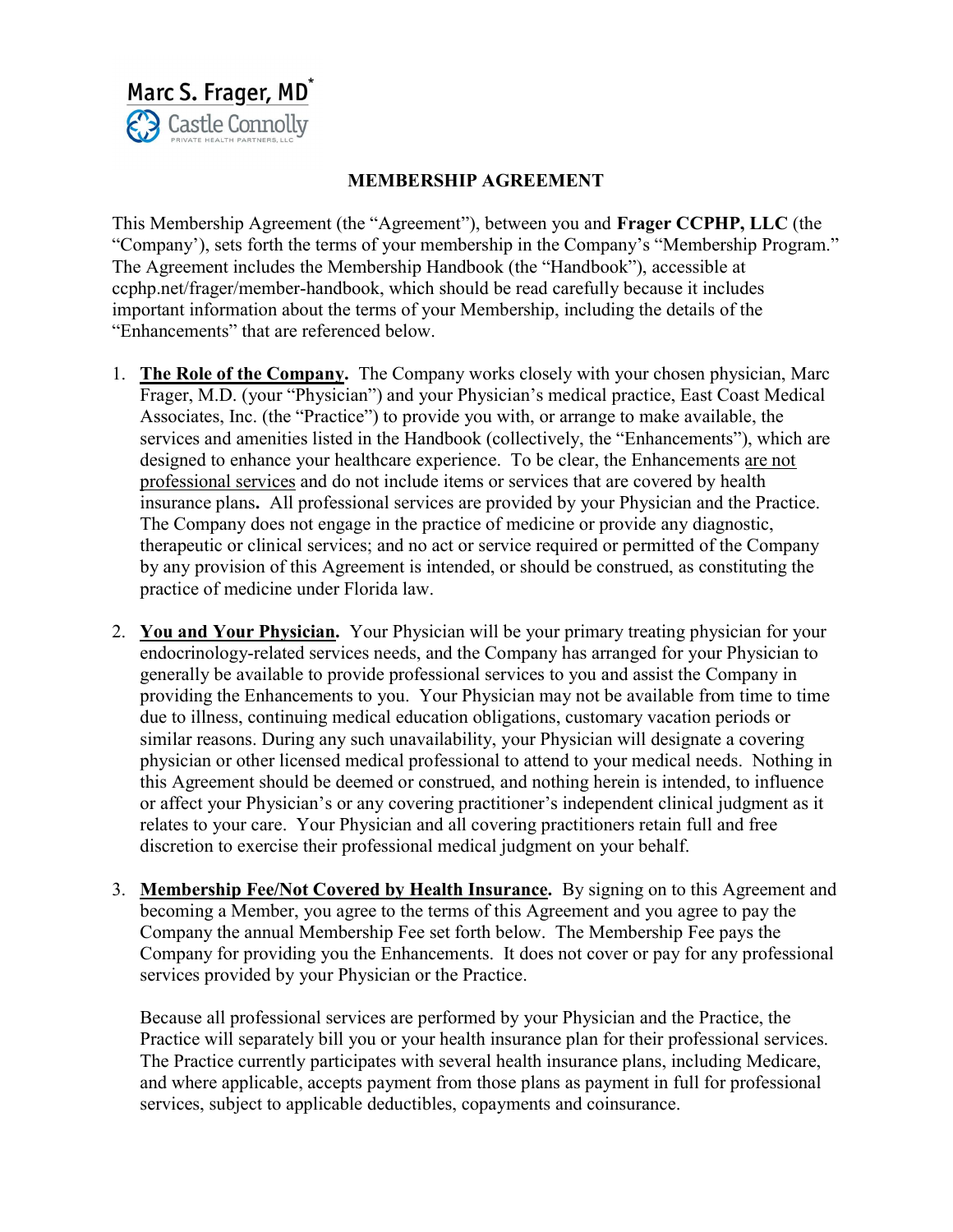

## MEMBERSHIP AGREEMENT

This Membership Agreement (the "Agreement"), between you and Frager CCPHP, LLC (the "Company'), sets forth the terms of your membership in the Company's "Membership Program." The Agreement includes the Membership Handbook (the "Handbook"), accessible at ccphp.net/frager/member-handbook, which should be read carefully because it includes important information about the terms of your Membership, including the details of the "Enhancements" that are referenced below.

- 1. The Role of the Company. The Company works closely with your chosen physician, Marc Frager, M.D. (your "Physician") and your Physician's medical practice, East Coast Medical Associates, Inc. (the "Practice") to provide you with, or arrange to make available, the services and amenities listed in the Handbook (collectively, the "Enhancements"), which are designed to enhance your healthcare experience. To be clear, the Enhancements are not professional services and do not include items or services that are covered by health insurance plans. All professional services are provided by your Physician and the Practice. The Company does not engage in the practice of medicine or provide any diagnostic, therapeutic or clinical services; and no act or service required or permitted of the Company by any provision of this Agreement is intended, or should be construed, as constituting the practice of medicine under Florida law.
- 2. You and Your Physician. Your Physician will be your primary treating physician for your endocrinology-related services needs, and the Company has arranged for your Physician to generally be available to provide professional services to you and assist the Company in providing the Enhancements to you. Your Physician may not be available from time to time due to illness, continuing medical education obligations, customary vacation periods or similar reasons. During any such unavailability, your Physician will designate a covering physician or other licensed medical professional to attend to your medical needs. Nothing in this Agreement should be deemed or construed, and nothing herein is intended, to influence or affect your Physician's or any covering practitioner's independent clinical judgment as it relates to your care. Your Physician and all covering practitioners retain full and free discretion to exercise their professional medical judgment on your behalf.
- 3. Membership Fee/Not Covered by Health Insurance. By signing on to this Agreement and becoming a Member, you agree to the terms of this Agreement and you agree to pay the Company the annual Membership Fee set forth below. The Membership Fee pays the Company for providing you the Enhancements. It does not cover or pay for any professional services provided by your Physician or the Practice.

Because all professional services are performed by your Physician and the Practice, the Practice will separately bill you or your health insurance plan for their professional services. The Practice currently participates with several health insurance plans, including Medicare, and where applicable, accepts payment from those plans as payment in full for professional services, subject to applicable deductibles, copayments and coinsurance.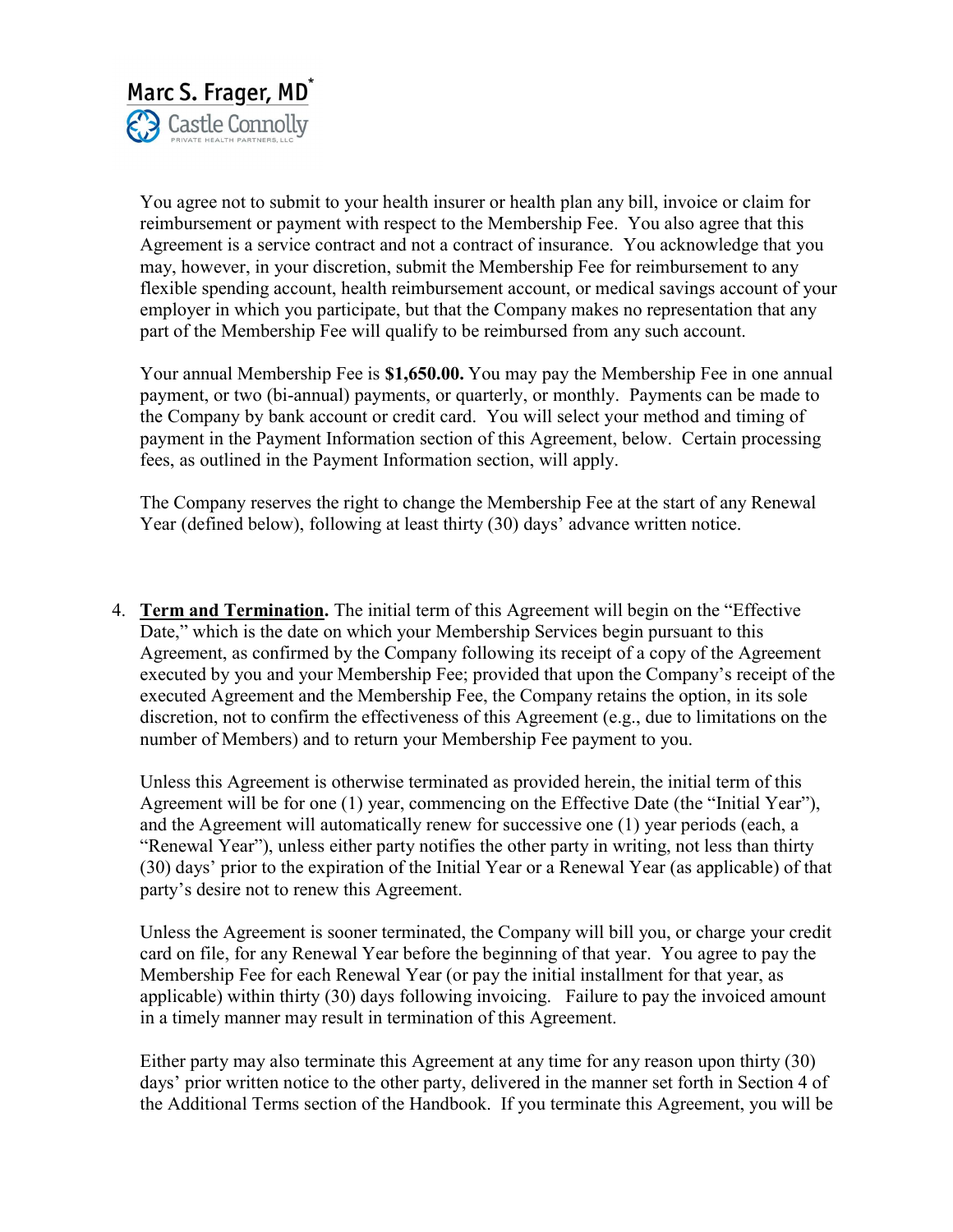

You agree not to submit to your health insurer or health plan any bill, invoice or claim for reimbursement or payment with respect to the Membership Fee. You also agree that this Agreement is a service contract and not a contract of insurance. You acknowledge that you may, however, in your discretion, submit the Membership Fee for reimbursement to any flexible spending account, health reimbursement account, or medical savings account of your employer in which you participate, but that the Company makes no representation that any part of the Membership Fee will qualify to be reimbursed from any such account.

Your annual Membership Fee is \$1,650.00. You may pay the Membership Fee in one annual payment, or two (bi-annual) payments, or quarterly, or monthly. Payments can be made to the Company by bank account or credit card. You will select your method and timing of payment in the Payment Information section of this Agreement, below. Certain processing fees, as outlined in the Payment Information section, will apply.

The Company reserves the right to change the Membership Fee at the start of any Renewal Year (defined below), following at least thirty (30) days' advance written notice.

4. Term and Termination. The initial term of this Agreement will begin on the "Effective Date," which is the date on which your Membership Services begin pursuant to this Agreement, as confirmed by the Company following its receipt of a copy of the Agreement executed by you and your Membership Fee; provided that upon the Company's receipt of the executed Agreement and the Membership Fee, the Company retains the option, in its sole discretion, not to confirm the effectiveness of this Agreement (e.g., due to limitations on the number of Members) and to return your Membership Fee payment to you.

Unless this Agreement is otherwise terminated as provided herein, the initial term of this Agreement will be for one (1) year, commencing on the Effective Date (the "Initial Year"), and the Agreement will automatically renew for successive one (1) year periods (each, a "Renewal Year"), unless either party notifies the other party in writing, not less than thirty (30) days' prior to the expiration of the Initial Year or a Renewal Year (as applicable) of that party's desire not to renew this Agreement.

Unless the Agreement is sooner terminated, the Company will bill you, or charge your credit card on file, for any Renewal Year before the beginning of that year. You agree to pay the Membership Fee for each Renewal Year (or pay the initial installment for that year, as applicable) within thirty (30) days following invoicing. Failure to pay the invoiced amount in a timely manner may result in termination of this Agreement.

Either party may also terminate this Agreement at any time for any reason upon thirty (30) days' prior written notice to the other party, delivered in the manner set forth in Section 4 of the Additional Terms section of the Handbook. If you terminate this Agreement, you will be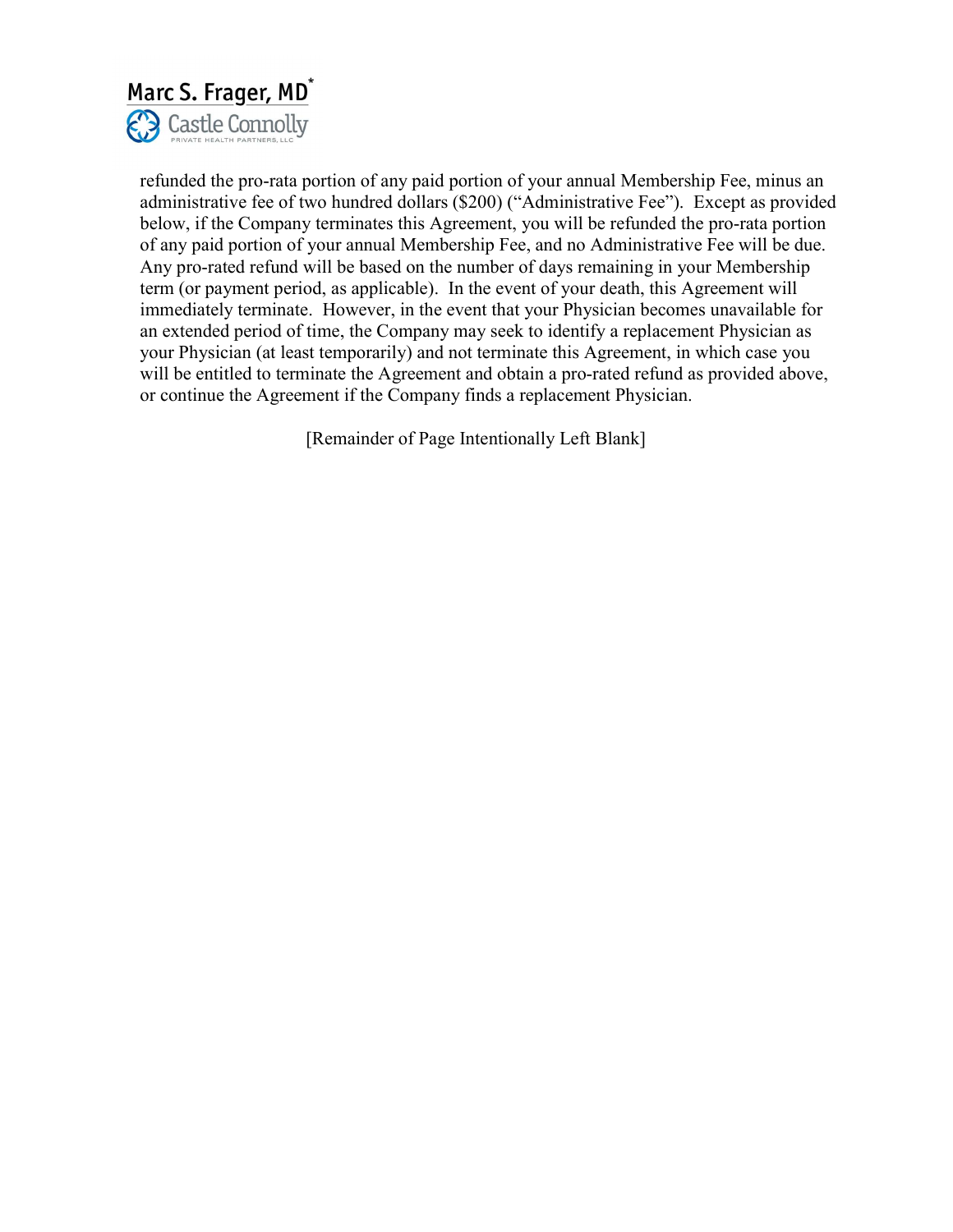

refunded the pro-rata portion of any paid portion of your annual Membership Fee, minus an administrative fee of two hundred dollars (\$200) ("Administrative Fee"). Except as provided below, if the Company terminates this Agreement, you will be refunded the pro-rata portion of any paid portion of your annual Membership Fee, and no Administrative Fee will be due. Any pro-rated refund will be based on the number of days remaining in your Membership term (or payment period, as applicable). In the event of your death, this Agreement will immediately terminate. However, in the event that your Physician becomes unavailable for an extended period of time, the Company may seek to identify a replacement Physician as your Physician (at least temporarily) and not terminate this Agreement, in which case you will be entitled to terminate the Agreement and obtain a pro-rated refund as provided above, or continue the Agreement if the Company finds a replacement Physician.

[Remainder of Page Intentionally Left Blank]